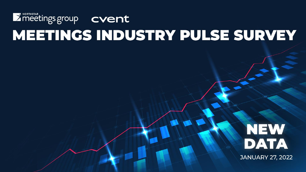## **NEW** DATA

**JANUARY 27, 2022**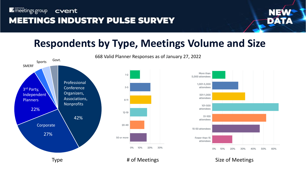

## **Respondents by Type, Meetings Volume and Size**



668 Valid Planner Responses as of January 27, 2022

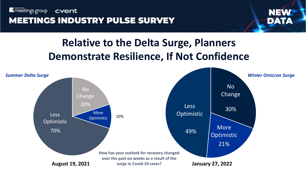

## **Relative to the Delta Surge, Planners Demonstrate Resilience, If Not Confidence**

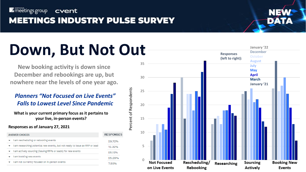

### **MEETINGS INDUSTRY PULSE SURVEY**



#### 40 **Down, But Not Out**

**New booking activity is down since December and rebookings are up, but nowhere near the levels of one year ago.**

#### *Planners "Not Focused on Live Events" Falls to Lowest Level Since Pandemic*

**What is your current primary focus as it pertains to your live, in -person events?**

#### **Responses as of January 27, 2021**

| <b>ANSWER CHOICES</b>                                                      | <b>RESPONSES</b> |
|----------------------------------------------------------------------------|------------------|
| I am rescheduling or rebooking events                                      | 29.72%           |
| am researching potential new events, but not ready to issue an RFP or lead | 12.32%           |
| am actively sourcing (issuing RFPs or leads) for new events                | 25.12%           |
| am booking new events                                                      | 25.29%           |
| am not currently focused on in-person events                               | 755%             |

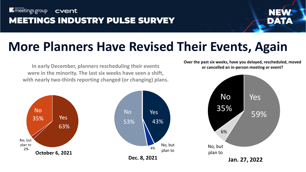

## **More Planners Have Revised Their Events, Again**

**In early December, planners rescheduling their events were in the minority. The last six weeks have seen a shift, with nearly two-thirds reporting changed (or changing) plans.**





**Over the past six weeks, have you delayed, rescheduled, moved or cancelled an in-person meeting or event?**

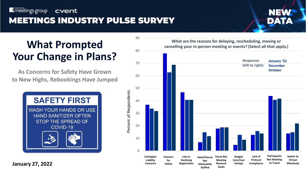

## **What Prompted Your Change in Plans?**

**As Concerns for Safety Have Grown to New Highs, Rebookings Have Jumped**



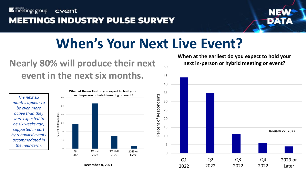

## **MEETINGS INDUSTRY PULSE SURVEY**



## **When's Your Next Live Event?**

## **Nearly 80% will produce their next event in the next six months.**

*The next six months appear to be even more active than they were expected to be six weeks ago, supported in part by rebooked events accommodated in the near-term.*



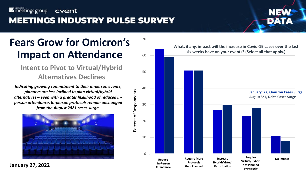## Fears Grow for Omicron's  $70^{\circ}$ **Impact on Attendance**

#### **Intent to Pivot to Virtual/Hybrid Alternatives Declines**

*Indicating growing commitment to their in-person events, planners are less inclined to plan virtual/hybrid alternatives – even with a greater likelihood of reduced inperson attendance. In-person protocols remain unchanged from the August 2021 cases surge.*





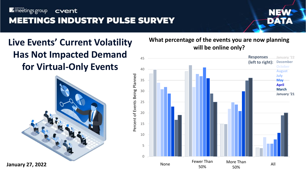

## **Live Events' Current Volatility Has Not Impacted Demand for Virtual-Only Events**



#### **What percentage of the events you are now planning will be online only?**

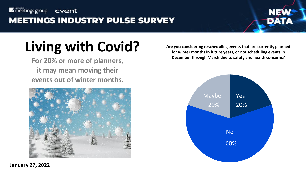# DAT

For 20% or more of planners, **it may mean moving their events out of winter months.** 



**Living with Covid?** Are you considering rescheduling events that are currently planned<br>
for winter months in future years, or not scheduling events in<br>
December through March due to safety and health concerns? **for winter months in future years, or not scheduling events in** 

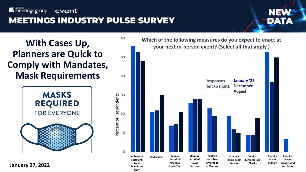60



## **With Cases Up, Planners are Quick to Comply with Mandates, Mask Requirements**



**January 27, 2022**

**Which of the following measures do you expect to enact at your next in-person event? (Select all that apply.)**

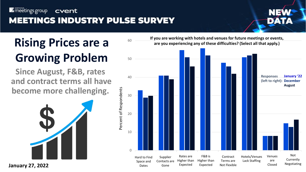

# **Growing Problem**

**Since August, F&B, rates and contract terms all have become more challenging.** 



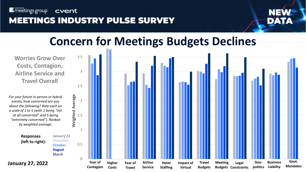

#### 4 **Concern for Meetings Budgets Declines**

**Worries Grow Over Costs, Contagion, Airline Service and Travel Overall**

*For your future in-person or hybrid events, how concerned are you about the following? Rate each on a scale of 1 to 5 (with 1 being "not at all concerned" and 5 being "extremely concerned"). Ranked by weighted average.*

> **Responses (left to right):**

**October August March**

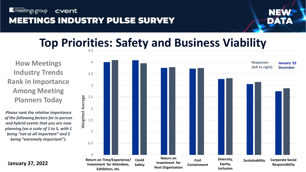

#### 4.5 **Top Priorities: Safety and Business Viability**

**How Meetings Industry Trends Rank in Importance Among Meeting Planners Today**

*Please rank the relative importance of the following factors for in-person and hybrid events that you are now planning (on a scale of 1 to 5, with 1 being "not at all important" and 5 being "extremely important").*